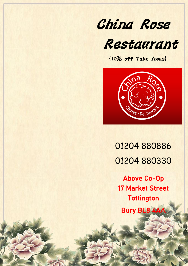China Rose



{10% off Take Away}



01204 880886 01204 880330

Above Co-Op 17 Market Street **Tottington** 

Bury BL8 4A**A**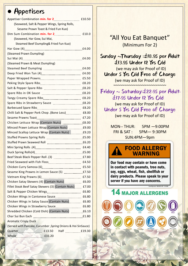# **Appetisers**

| Appetiser Combination min. for 2 [10.50]                                                                                                                                                                                        |       |                                                |
|---------------------------------------------------------------------------------------------------------------------------------------------------------------------------------------------------------------------------------|-------|------------------------------------------------|
| (Seaweed, Salt & Pepper Wings, Spring Rolls,                                                                                                                                                                                    |       |                                                |
| Sesame Prawn Toast & Fried Fun Kuo)                                                                                                                                                                                             |       |                                                |
|                                                                                                                                                                                                                                 |       |                                                |
| (Seaweed, Har Gow, Sui Mai,                                                                                                                                                                                                     |       | "All You Eat Banquet"                          |
| Steamed Beef Dumpling& Fried Fun Kuo)                                                                                                                                                                                           |       | (Minimum For 2)                                |
|                                                                                                                                                                                                                                 |       |                                                |
| (Steamed Prawn Dumpling)                                                                                                                                                                                                        |       |                                                |
|                                                                                                                                                                                                                                 |       | Sunday ~Thursday $: £18.95$ per Adult          |
| (Steamed Prawn & Meat Dumpling)                                                                                                                                                                                                 |       | £13.95 Under 12 Yrs Old                        |
|                                                                                                                                                                                                                                 |       | (we may ask for Proof of ID)                   |
|                                                                                                                                                                                                                                 |       | Under 5 Yrs Old Free of Charge                 |
|                                                                                                                                                                                                                                 |       |                                                |
|                                                                                                                                                                                                                                 |       | (we may ask for Proof of ID)                   |
|                                                                                                                                                                                                                                 |       |                                                |
|                                                                                                                                                                                                                                 |       | Friday $\sim$ Saturday: $\pm$ 22.95 per Adult. |
|                                                                                                                                                                                                                                 |       | $£17.95$ Under 12 Yrs Old                      |
|                                                                                                                                                                                                                                 |       |                                                |
|                                                                                                                                                                                                                                 |       | (we may ask for Proof of ID)                   |
|                                                                                                                                                                                                                                 |       | Under 5 Yrs Old Free of Charge                 |
| Sesame Prawns Toast<br>1.20                                                                                                                                                                                                     |       | (we may ask for Proof of ID)                   |
|                                                                                                                                                                                                                                 |       |                                                |
|                                                                                                                                                                                                                                 |       | MON--THUR: $5PM - 9:00PM$                      |
| Minced Scallop Lettuce Wrap (Contain Nuts) [111][10.20]                                                                                                                                                                         |       | FRI & SAT :<br>5PM-9:30PM                      |
|                                                                                                                                                                                                                                 |       | SUN:4PM-9pm                                    |
|                                                                                                                                                                                                                                 |       |                                                |
|                                                                                                                                                                                                                                 |       | <b>FOOD ALLERGY</b>                            |
|                                                                                                                                                                                                                                 |       |                                                |
| Beef Steak Black Pepper Roll .(3)                                                                                                                                                                                               | E7.80 | WARNING                                        |
|                                                                                                                                                                                                                                 |       | Our food may contain or have come              |
|                                                                                                                                                                                                                                 |       | in contact with peanuts, tree nuts,            |
|                                                                                                                                                                                                                                 |       | soy, eggs, wheat, fish, shellfish or           |
|                                                                                                                                                                                                                                 |       | dairy products. Please speak to your           |
|                                                                                                                                                                                                                                 |       | server if you have any concerns.               |
| Fillet Steak Beef Satay Skewers (3) (Contain Nuts) <sub>21111</sub> £7.00                                                                                                                                                       |       | SmartSign.com • 800-952-1457 • S2-1660         |
| Salt & Pepper Chicken Wings<br>1992 - The Museum Control of Salt & Pepper Chicago and Salt & Pepper Chicago and Salt & Salt & Salt & Salt & Salt & Salt & Salt & Salt & Salt & Salt & Salt & Salt & Salt & Salt & Salt & Salt & |       | <b>14 MAJOR ALLERGENS</b>                      |
|                                                                                                                                                                                                                                 |       |                                                |
| Chicken Wings in Satay Sauce (Contain Nuts) £6.80                                                                                                                                                                               |       |                                                |
|                                                                                                                                                                                                                                 |       |                                                |
|                                                                                                                                                                                                                                 |       |                                                |
|                                                                                                                                                                                                                                 |       |                                                |
| <b>Aromatic Crispy Duck</b>                                                                                                                                                                                                     |       |                                                |
| (Served with Pancake, Cucumber, Spring Onions & Hoi SinSauce)                                                                                                                                                                   |       |                                                |
| Quarter 2012 13.50 Half 113.50 E13.30                                                                                                                                                                                           |       |                                                |
|                                                                                                                                                                                                                                 |       |                                                |
|                                                                                                                                                                                                                                 |       |                                                |

## "All You Eat Banquet" (Minimum For 2)

Sunday ~Thursday :£18.95 per Adult<br>£13.95 Under 12 Yrs Old Wall You Eat Banquet"<br>
(Minimum For 2)<br>
Sunday ~Thursday :£18.95 per Adult<br>
£13.95 Under 12 Yrs Old<br>
(we may ask for Proof of ID)<br>
Under 5 Yrs Old Free of Charge XII You Eat Banquet"<br>
(Minimum For 2)<br> **y** ~Thursday :£18.95 per Adult<br>
£13.95 Under 12 Yrs Old<br>
(we may ask for Proof of ID)<br>
er 5 Yrs Old Free of Charge<br>
(we may ask for Proof of ID) (we may ask for Proof of ID) (we may ask for Proof of ID) "All You Eat Banquet"<br>
(Minimum For 2)<br>
Sunday ~Thursday :£18.95 per Adult<br>
£13.95 Under 12 Yrs Old<br>
(we may ask for Proof of ID)<br>
Under 5 Yrs Old Free of Charge<br>
Friday ~ Saturday:£22.95 per Adult.<br>
£17.95 Under 12 Yrs Ol £17.95 Under 12 Yrs Old

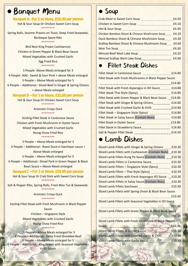# Banquet Menu

### **Banquet A - For 2 or More. £23.00 per person**

Hot & Sour Soup Or Chicken Sweet Corn Soup \*\*\*\*\*\*\*\*

Spring Rolls, Sesame Prawns on Toast, Deep Fried Seaweeds, Barbeque Spare Ribs \*\*\*\*\*\*\*\*

> Bird Nest King Prawn Cashewnuts Chicken in Green Pepper & Black Bean Sauce Mixed Vegetables with Crushed Garlic

### Egg Fried Rice \*\*\*\*\*\*\*\*

 People- Above Meals enlarged for 3 People- Add:- Sweet & Sour Pork + above Meals enlarged People – Above Meals enlarged for 5 People – Additional:- Sliced Beef in Ginger & Spring Onions + above Meals enlarged

### Banquet B - For 2 or More, £25.00 per person

Hot & Sour Soup Or Chicken Sweet Corn Soup

\*\*\*\*\*\*\*\* Aromatic Crispy Duck \*\*\*\*\*\*\*\*

Sizzling Fillet Steak in Cantonese Sauce Chicken with Fresh Mushroom in Oyster Sauce Mixed Vegetables with Crushed Garlic Yeung Chow Fried Rice

### \*\*\*\*\*\*\*\*

 People – Above Meals enlarged for 3 People – Additional:- Roast Duck in Szechwan sauce + Above Meals enlarged People – Above Meals enlarged for 5

6 People – Additional:- Sliced Pork in Green Pepper & Black Bean Sauce + Above Meals enlarged

Banquet C - For 2 or More. £29.00 per person

Hot & Sour Soup Or Crab Stick with Sweet Corn Soup \*\*\*\*\*\*\*\*

Salt & Pepper Ribs, Spring Rolls, Fried Won Tun & Seaweeds.

### \*\*\*\*\*\*\*\* Aromatic Crispy Duck \*\*\*\*\*\*\*\*

Sizzling Fillet Steak with fresh Mushroom in Black Pepper Sauce Chicken – Singapore Style

Mixed Vegetables with Crushed Garlic Yeung Chow Fried Rice \*\*\*\*\*\*\*\*

 People – Above Meals enlarged for 3 People – Additional:- Deep Fried Shredded Beef People – Above Meals enlarged for 5 People – Additional:- King Prawn with Seasonal Vegetables in XO Sauce

## Soup

|                                                    | £4.50 |  |
|----------------------------------------------------|-------|--|
|                                                    | £4.10 |  |
|                                                    | £4.30 |  |
| Chicken Bamboo Shoot & Chinese Mushroom Soup £4.10 |       |  |
| Duck Bamboo Shoot & Chinese Mushroom Soup £4.30    |       |  |
| Scallop Bamboo Shoot & Chinese Mushroom Soup £4.60 |       |  |
|                                                    | £4.30 |  |
|                                                    |       |  |
|                                                    | £4.60 |  |
|                                                    |       |  |

# Fillet Steak Dishes

| <b>Fillet Steak in Cantonese Sauce</b>                  | f14.80 |  |
|---------------------------------------------------------|--------|--|
| Fillet Steak with Fresh Mushrooms in Black Pepper Sauce |        |  |

|                                                          | £14.80 |  |
|----------------------------------------------------------|--------|--|
| Fillet Steak with Fresh Asparagus in XO Sauce E14.80     |        |  |
|                                                          | £14.80 |  |
| Fillet Steak with Green Pepper & Black Bean Sauce £14.80 |        |  |
|                                                          |        |  |
|                                                          |        |  |
|                                                          |        |  |
|                                                          |        |  |
|                                                          | £14.80 |  |
|                                                          |        |  |
|                                                          | £14.50 |  |
|                                                          |        |  |

# **Lamb Dishes**

| Sliced Lamb Fillets with Ginger & Spring Onions 110.30    |        |  |
|-----------------------------------------------------------|--------|--|
| Sliced Lamb Fillets with Cashewnuts (Contain Nuts) £10.30 |        |  |
| Sliced Lamb Fillets Kung Po Sauce (Contain Nuts)  £10.30  |        |  |
| Sliced Lamb Fillets in Cantonese Sauce £10.30             |        |  |
| Sliced Lamb Fillets - Singapore Style (Spicy) £10.30      |        |  |
|                                                           |        |  |
| Sliced Lamb Fillets with Fresh Asparagus XO Sauce £10.30  |        |  |
| Sliced Lamb Fillets in Satay Sauce (Contain Nuts) £10.30  |        |  |
|                                                           |        |  |
| Sliced Lamb Fillets with Spring Onion & Black Bean Sauce  |        |  |
|                                                           | £10.30 |  |
| Sliced Lamb Fillets with Seasonal Vegetables in XO Sauce  |        |  |
| <b>E10.30</b>                                             |        |  |
| Sliced Lamb Fillets with Green Pepper & Black Bean Sauce  |        |  |
| <b>E10.30</b>                                             |        |  |
| Sliced Lamb Fillets with Fresh Mushroom in Black Pepper   |        |  |
| E10.30<br><b>Sauce</b>                                    |        |  |
| Sliced Lamb Fillets in Oyster Sauce<br>£10.30             |        |  |
| Sliced Lamb Fillets with Crushed Garlic & Chilli [10.30   |        |  |
|                                                           |        |  |
|                                                           |        |  |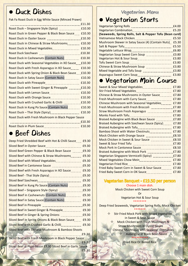## **. Duck Dishes**

| Pak Fa Roast Duck in Egg White Sauce (Minced Prawn) |  |  |  |
|-----------------------------------------------------|--|--|--|
|-----------------------------------------------------|--|--|--|

| Roast Duck in Green Pepper & Black Bean Sauce £10.30   | (Seaweeds, Spring Rolls, Salt & Pepper Tofu (Bean curd) |       |
|--------------------------------------------------------|---------------------------------------------------------|-------|
|                                                        |                                                         |       |
| Roast Duck in Chinese & Straw Mushrooms £10.30         | Mushroom Skewer in Satay Sauce (4) (Contain Nuts) £5.30 |       |
|                                                        |                                                         |       |
|                                                        |                                                         |       |
|                                                        |                                                         |       |
| Roast Duck in Cashewnuts (Contain Nuts) £10.30         | Vegetarian Hot & Sour Soup<br>13.80                     |       |
| Roast Duck with Seasonal Vegetables in XO Sauce £10.30 |                                                         |       |
| Roast Duck with Fresh Asparagus in XO Sauce £10.30     |                                                         |       |
| Roast Duck with Spring Onion & Black Bean Sauce £10.30 |                                                         |       |
| Roast Duck in Satay Sauce (Contain Nuts) [10.30]       |                                                         |       |
|                                                        | • Vegetarian Main Course                                |       |
|                                                        |                                                         |       |
|                                                        |                                                         | £7.80 |
|                                                        | Chinese & Straw Mushrooms in Oyster Sauce £7.80         |       |
|                                                        | Fresh Mushroom with Curry Sauce                         | £7.80 |
|                                                        | Chinese Mushroom with Seasonal Vegetables £7.80         |       |
| Roast Duck in Kung Po Sauce (Contain Nuts) [[10.30]    |                                                         |       |
|                                                        |                                                         |       |
| Roast Duck with Fresh Mushroom in Black Pepper Sauce   |                                                         |       |
|                                                        |                                                         |       |
|                                                        | Braised Aubergine with Szechwan Sauce (Spicy) £7.80     |       |
|                                                        | Braised Aubergine with Tofu                             | £7.80 |

# **Beef Dishes**

| Deep Fried Shredded Beef with Hot & Chilli Sauce £9.30      |       |                                                             |  |
|-------------------------------------------------------------|-------|-------------------------------------------------------------|--|
|                                                             |       |                                                             |  |
| Sliced Beef Green Pepper & Black Bean Sauce  £9.30          |       |                                                             |  |
| Sliced Beef with Chinese & Straw Mushrooms £9.30            |       | Vegetarian Singapore Vermicelli (Spicy) [17.80]             |  |
|                                                             |       |                                                             |  |
|                                                             |       |                                                             |  |
|                                                             |       | Fried Baby Sweet Corn in Sweet & Sour Sauce £7.80           |  |
| Sliced Beef with Fresh Asparagus in XO Sauce £9.30          |       |                                                             |  |
|                                                             |       |                                                             |  |
|                                                             |       | Vegetarian Banquet - £19.50 per person                      |  |
|                                                             |       | Choose 1 main dish.                                         |  |
|                                                             |       | Mock Chicken with Sweet Corn Soup                           |  |
| Sliced Beef in Cashewnuts (Contain Nuts)  £9.30             |       | Ωr                                                          |  |
| Sliced Beef in Satay Sauce (Contain Nuts) £9.30             |       | <b>Vegetarian Hot &amp; Sour Soup</b>                       |  |
|                                                             |       | Deep Fried Seaweeds, Vegetarian Spring Rolls, Mock Chicken  |  |
|                                                             |       |                                                             |  |
|                                                             |       | <b>Stir Fried Mock Pork with Mixed Vegetables</b>           |  |
| Sliced Beef in Spring Onions & Black Bean Sauce £9.30       |       | in Sweet & Sour Sauce<br>Mock Chicken with Fresh Mushroom & |  |
|                                                             |       | <b>Straw Mushroom in Oyster Sauce</b>                       |  |
| Sliced Beef with Chinese Mushroom & Bamboo Shoots           |       | <b>Chinese Mushroom with Seasonal Vegetables</b>            |  |
|                                                             | £9.30 | ← Aubergine in Black Bean Sauce                             |  |
| Sliced Beef with Fresh Mushroom in Black Pepper Sauce       |       |                                                             |  |
| Start Communication                                         | £9.30 | <b>Fried Rice Or Boiled Rice</b>                            |  |
| Sliced Beef in Plum Sauce £8.30 Sliced Beef in Garlic Sauce |       |                                                             |  |
|                                                             | £9.30 |                                                             |  |

## Vegetarian Menu

# Vegetarian Starts

|                                                                                 | £4.00 |  |
|---------------------------------------------------------------------------------|-------|--|
|                                                                                 | £5.20 |  |
| (Seaweeds, Spring Rolls, Salt & Pepper Tofu (Bean curd)                         |       |  |
|                                                                                 | £5.50 |  |
| Mushroom Skewer in Satay Sauce (4) (Contain Nuts) £5.30                         |       |  |
|                                                                                 | £5.50 |  |
|                                                                                 |       |  |
|                                                                                 |       |  |
| Vegetarian Hot & Sour Soup<br>1990 - The Manus Marson Hotel Andrew Manus Marson | £3.80 |  |
|                                                                                 | £3.80 |  |
|                                                                                 |       |  |
|                                                                                 |       |  |
|                                                                                 | £3.80 |  |

|                                                                                                                                                                                                                               | £7.80 |  |
|-------------------------------------------------------------------------------------------------------------------------------------------------------------------------------------------------------------------------------|-------|--|
|                                                                                                                                                                                                                               |       |  |
| Chinese & Straw Mushrooms in Oyster Sauce [17.80]                                                                                                                                                                             |       |  |
|                                                                                                                                                                                                                               |       |  |
| Chinese Mushroom with Seasonal Vegetables £7.80                                                                                                                                                                               |       |  |
|                                                                                                                                                                                                                               |       |  |
|                                                                                                                                                                                                                               |       |  |
|                                                                                                                                                                                                                               |       |  |
|                                                                                                                                                                                                                               |       |  |
| Braised Aubergine with Szechwan Sauce (Spicy) [17.80]                                                                                                                                                                         |       |  |
|                                                                                                                                                                                                                               |       |  |
|                                                                                                                                                                                                                               |       |  |
|                                                                                                                                                                                                                               |       |  |
|                                                                                                                                                                                                                               |       |  |
|                                                                                                                                                                                                                               |       |  |
|                                                                                                                                                                                                                               |       |  |
|                                                                                                                                                                                                                               |       |  |
| Vegetarian Singapore Vermicelli (Spicy) [1999] [1999] [1996] [1999] [1999] [1999] [1999] [1999] [1999] [1999] [1999] [1999] [1999] [1999] [1999] [1999] [1999] [1999] [1999] [1999] [1999] [1999] [1999] [1999] [1999] [1999] |       |  |
|                                                                                                                                                                                                                               |       |  |
|                                                                                                                                                                                                                               |       |  |
| Fried Baby Sweet Corn in Sweet & Sour Sauce £7.80                                                                                                                                                                             |       |  |
|                                                                                                                                                                                                                               |       |  |
|                                                                                                                                                                                                                               |       |  |

## Vegetarian Banquet - £19.50 per person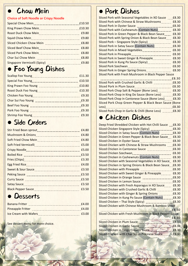# Chow Mein

### **Choice of Soft Noodle or Crispy Noodle**

|  | Sliced Pork with                            |
|--|---------------------------------------------|
|  | Sliced Pork in O                            |
|  | <b>Sliced Pork with</b><br>Sliced Pork in G |
|  | <b>Sliced Pork with</b>                     |
|  | Sliced Pork - Sir                           |
|  | Sliced Pork in Sa                           |
|  | Sliced Pork in M<br>Sliced Pork in Pi       |
|  | <b>Sliced Pork in Sv</b>                    |
|  | Sliced Pork in Ku                           |
|  |                                             |

# Foo Young Dishes

| $\sim$ |                                                            |
|--------|------------------------------------------------------------|
|        | <b>. Chicken Dishes</b>                                    |
|        | Sliced Pork Chop in Garlic & Chilli (Bone Less) [8.30]     |
|        |                                                            |
|        | Sliced Pork Chop Green Pepper & Black Bean Sauce (Bone     |
|        | Sliced Pork Chop in Cantonese Sauce (Bone Less) £8.30      |
|        | Sliced Pork Chop in King Do Sauce (Bone Less) [168.30]     |
|        | Sliced Pork Chop Salt & Pepper (Bone Less) [18.30]         |
|        |                                                            |
|        | Sliced Pork with Crushed Garlic & Chilli [111] [12] [8.30] |
|        | £8.30                                                      |
|        | Silced Pork With Fresh Mushi Odiff in Black Pepper Sauce   |

# Side Orders

|  | SIICEO CHICKEN S                      |
|--|---------------------------------------|
|  | Sliced Chicken i<br>Sliced Chicken in |
|  | Sliced Chicken in                     |
|  | Sliced Chicken v                      |
|  | Sliced Chicken i                      |
|  | Sliced Chicken S                      |
|  | Sliced Chicken in<br>Sliced Chicken w |
|  | Sliced Chicken i                      |
|  | Sliced Chicken v                      |
|  | Sliced Chicken v                      |
|  | Sliced Chicken in                     |
|  | Sliced Chicken i<br>Sliced Chicken v  |
|  | Sliced Chicken v                      |
|  |                                       |

# **Desserts**

| <b>Banana Fritter</b>        |       | <b>SHEET CHILING</b><br>Sliced Chicken w |
|------------------------------|-------|------------------------------------------|
| <b>Pineapple Fritter</b>     | £4.00 |                                          |
| <b>Ice Cream with Wafers</b> | £3.00 | Sliced Chicken w                         |

See dessert menu for more choice.

# **• Pork Dishes**

| Sliced Pork with Seasonal Vegetables in XO Sauce       | £8.30 |  |
|--------------------------------------------------------|-------|--|
| Sliced Pork with Chinese & Straw Mushrooms             | £8.30 |  |
|                                                        |       |  |
| Sliced Pork with Cashewnuts (Contain Nuts) [18.30]     |       |  |
| Sliced Pork in Green Pepper & Black Bean Sauce £8.30   |       |  |
| Sliced Pork with Spring Onion & Black Bean Sauce £8.30 |       |  |
|                                                        | £8.30 |  |
| Sliced Pork in Satay Sauce (Contain Nuts)              | £8.30 |  |
|                                                        | £8.30 |  |
| <b>Sliced Pork in Pineapple</b>                        | £8.30 |  |
|                                                        |       |  |
|                                                        |       |  |
|                                                        | £8.30 |  |
|                                                        | £8.30 |  |
| Sliced Pork with Fresh Mushroom in Black Pepper Sauce  |       |  |
|                                                        | £8.30 |  |
|                                                        | £8.30 |  |
|                                                        |       |  |

| Sliced Pork with Crushed Garlic & Chilli               | £8.30 |  |
|--------------------------------------------------------|-------|--|
| <b>Sliced Pork in Plum Sauce</b>                       | £8.30 |  |
| Sliced Pork Chop Salt & Pepper (Bone Less)             | £8.30 |  |
| Sliced Pork Chop in King Do Sauce (Bone Less)          | £8.30 |  |
| Sliced Pork Chop in Cantonese Sauce (Bone Less) £8.30  |       |  |
| Sliced Pork Chop Green Pepper & Black Bean Sauce (Bone |       |  |
| Less)                                                  | £8.30 |  |
| Sliced Pork Chop in Garlic & Chilli (Bone Less)        | £8.30 |  |

| Deep Fried Shredded Chicken with Hot Chilli Sauce £8.30   |       |  |
|-----------------------------------------------------------|-------|--|
|                                                           |       |  |
|                                                           |       |  |
| Sliced Chicken in Green Pepper & Black Bean Sauce £8.30   |       |  |
|                                                           |       |  |
| Sliced Chicken with Chinese & Straw Mushrooms £8.30       |       |  |
|                                                           |       |  |
|                                                           |       |  |
| Sliced Chicken in Cashewnuts (Contain Nuts) £8.30         |       |  |
| Sliced Chicken with Seasonal Vegetables in XO Sauce £8.30 |       |  |
| Sliced Chicken in Spring Onions & Black Bean Sauce £8.30  |       |  |
| E8.30<br>Sliced Chicken with Pineapple                    |       |  |
| Sliced Chicken with Sweet Ginger & Pineapple £8.30        |       |  |
|                                                           |       |  |
|                                                           |       |  |
| Sliced Chicken with Fresh Asparagus in XO Sauce £8.30     |       |  |
|                                                           |       |  |
| Sliced Chicken with Ginger & Spring Onions [1996] [8.30]  |       |  |
|                                                           |       |  |
|                                                           |       |  |
| Sliced Chicken with Chinese Mushroom & Bamboo Shoot       |       |  |
| <b>SEPTEMBER</b>                                          | £8.30 |  |
| Sliced Chicken with Fresh Mushroom in Black Pepper Sauce  |       |  |
| f8.30                                                     |       |  |
| Sliced Chicken in Plum Sauce May 2008 10:00 12:00:00      |       |  |
| Sliced Chicken in Garlic Sauce<br>18.30                   |       |  |
| Sliced Chicken in Tangy Creamy Sauce Manuscript 18.30     |       |  |
| Sliced Chicken with Char Sui in Pekinese Sauce £8.30      |       |  |
|                                                           |       |  |